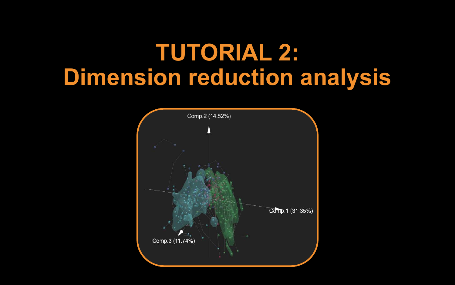# **TUTORIAL 2: Dimension reduction analysis**

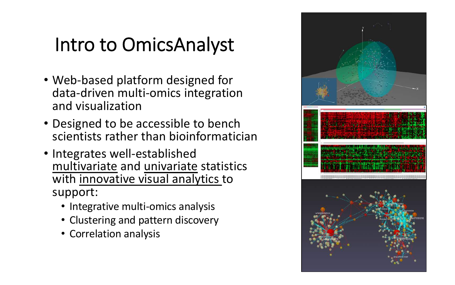## Intro to OmicsAnalyst

- Web-based platform designed for data-driven multi-omics integration and visualization
- Designed to be accessible to bench scientists rather than bioinformatician
- Integrates well-established multivariate and univariate statistics with innovative visual analytics to support:
	- Integrative multi-omics analysis
	- Clustering and pattern discovery
	- Correlation analysis

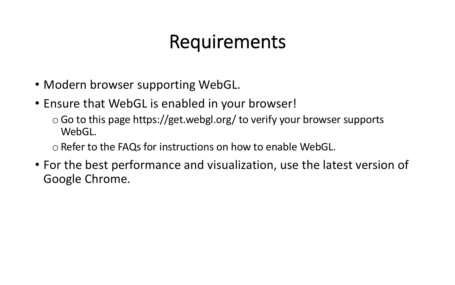### Requirements

- Modern browser supporting WebGL.
- Ensure that WebGL is enabled in your browser!
	- $\circ$  Go to this page https://get.webgl.org/ to verify your browser supports WebGL.

oRefer to the FAQs for instructions on how to enable WebGL.

• For the best performance and visualization, use the latest version of Google Chrome.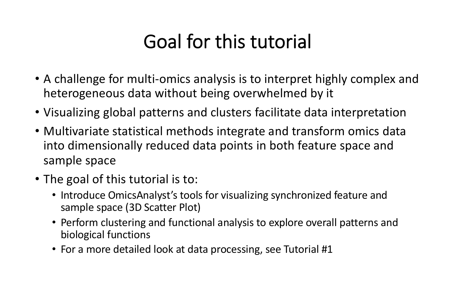## Goal for this tutorial

- A challenge for multi-omics analysis is to interpret highly complex and heterogeneous data without being overwhelmed by it
- Visualizing global patterns and clusters facilitate data interpretation
- Multivariate statistical methods integrate and transform omics data into dimensionally reduced data points in both feature space and sample space
- The goal of this tutorial is to:
	- Introduce OmicsAnalyst's tools for visualizing synchronized feature and sample space (3D Scatter Plot)
	- Perform clustering and functional analysis to explore overall patterns and biological functions
	- For a more detailed look at data processing, see Tutorial #1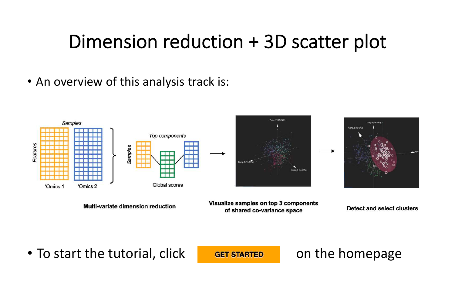### Dimension reduction + 3D scatter plot

• An overview of this analysis track is:



**Multi-variate dimension reduction** 

Visualize samples on top 3 components of shared co-variance space

**Detect and select clusters** 

• To start the tutorial, click  $\overline{a}$  **ExatLA** can the homepage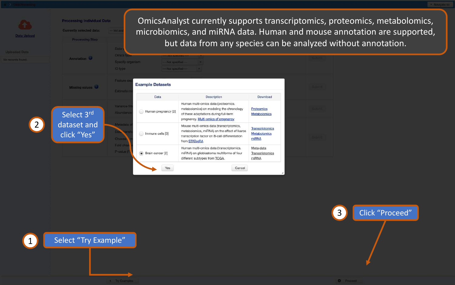

OmicsAnalyst currently supports transcriptomics, proteomics, metabolomics, microbiomics, and miRNA data. Human and mouse annotation are supported, but data from any species can be analyzed without annotation.

Download

Proteomics

**Metabolomics** 

Transcriptomics

Metabolomics

Transcriptomics

miRNA

miRNA

Cancel

Meta-data

Description



Select "Try Example"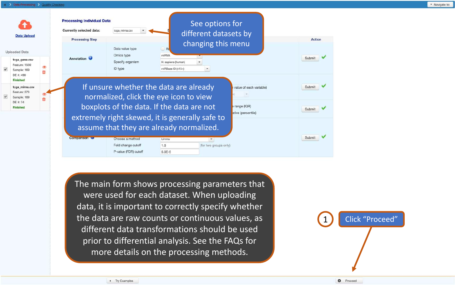n > Data Processing > Quality Checking

**Data Upload** 

**Uploaded Data** 

toga gene.csv

Feature: 1560

Sample: 169

tcga mirna.csv

Feature: 273

Sample: 169 DE #: 74

**Finished** 

DE #: 490 **Finished** 



The main form shows processing parameters that were used for each dataset. When uploading data, it is important to correctly specify whether the data are raw counts or continuous values, as different data transformations should be used prior to differential analysis. See the FAQs for more details on the processing methods.

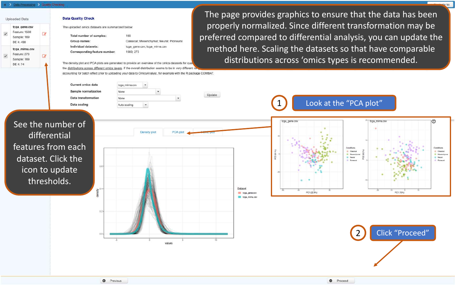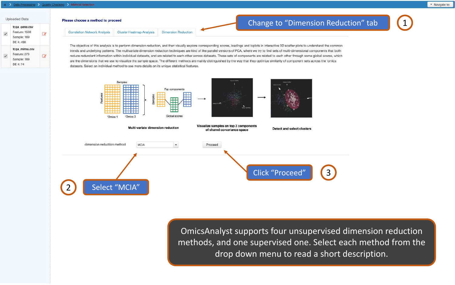### n > Data Processing > Quality Checking > Method Selection

 $\mathbf 1$ 

### Please choose a method to proceed



### **Correlation Network Analysis Cluster Heatmap Analysis Dimension Reduction**

The objective of this analysis is to perform dimension reduction, and then visually explore corresponding scores, loadings and biplots in interactive 3D scatter plots to understand the common trends and underlying patterns. The multivariate dimension reduction techniques are kind of like parallel versions of PCA, where we try to find sets of multi-dimensional components that both reduce redundant information within individual datasets, and are related to each other across datasets. These sets of components are related to each other through some global scores, which are the dimensions that we use to visualize the sample space. The different methods are mainly distinguished by the way that they optimize similarity of component sets across the 'omics datasets. Select an individual method to see more details on its unique statistical features.



OmicsAnalyst supports four unsupervised dimension reduction methods, and one supervised one. Select each method from the drop down menu to read a short description.

Change to "Dimension Reduction" tab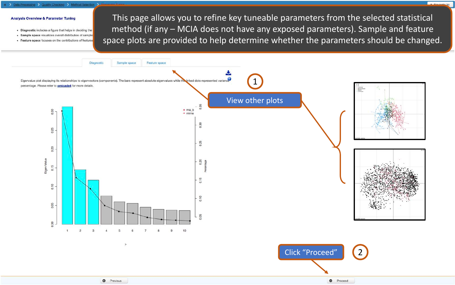

### **Analysis Overview & Parameter Tuning**

- · Diagnostic includes a figure that helps in deciding the
- · Sample space visualizes overall distribution of samples
- Feature space focuses on the contributions of features

This page allows you to refine key tuneable parameters from the selected statistical method (if any - MCIA does not have any exposed parameters). Sample and feature space plots are provided to help determine whether the parameters should be changed.

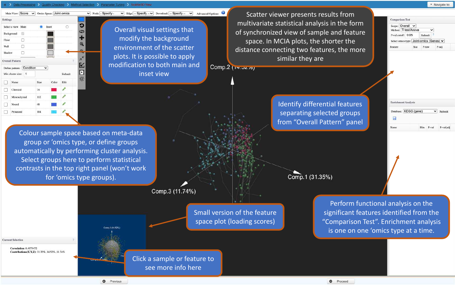### h > Data Processing > Quality Checking > Method Selection > Parameter Tuning > Scatter3D View



**Current Selection** 

**Correlation: 0.4973472** Contributions(X,Y,Z): 31.35%, 14.52%, 11.74%

> Click a sample or feature to see more info here

is one on one 'omics type at a time.

۰ Proceed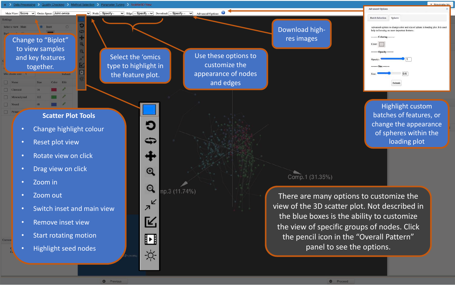

**O** Proceed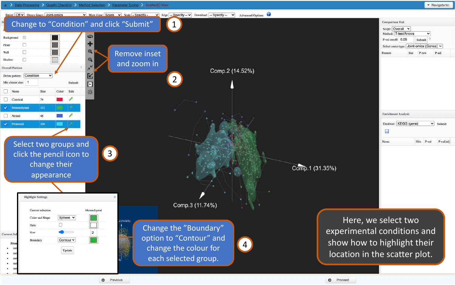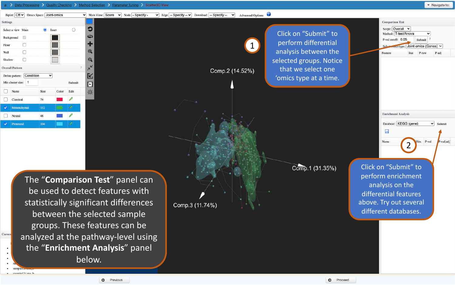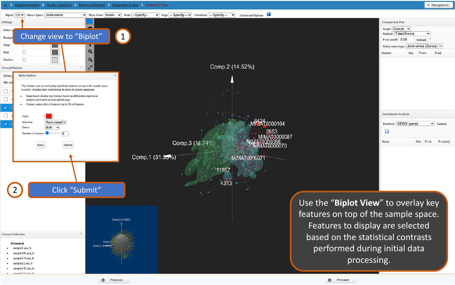